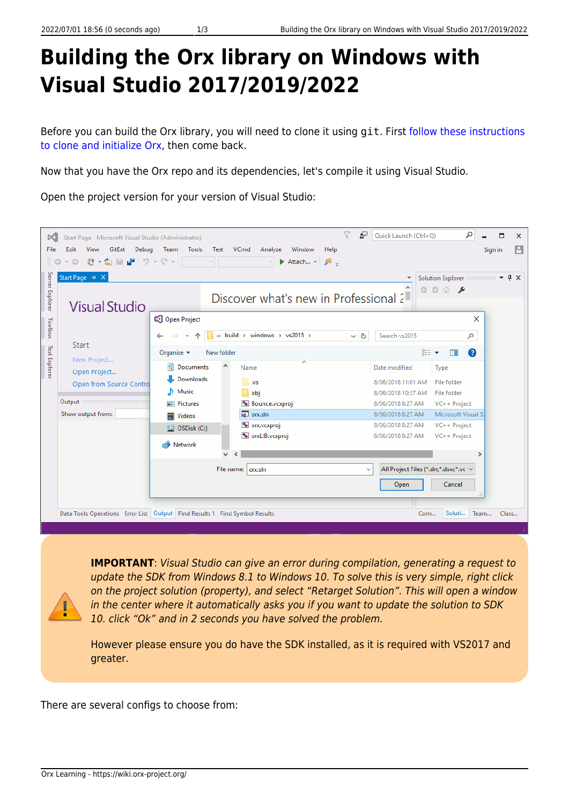## **Building the Orx library on Windows with Visual Studio 2017/2019/2022**

Before you can build the Orx library, you will need to clone it using git. First [follow these instructions](https://wiki.orx-project.org/en/tutorials/orx/cloning_orx_from_github) [to clone and initialize Orx](https://wiki.orx-project.org/en/tutorials/orx/cloning_orx_from_github), then come back.

Now that you have the Orx repo and its dependencies, let's compile it using Visual Studio.

Open the project version for your version of Visual Studio:

| ÞО<br>File<br>ă.<br>Server Explorer | Start Page - Microsoft Visual Studio (Administrator)<br>Edit<br>GitExt<br>Debug<br>View<br>- ◎ │ 拾 - 칍 밥 ᆸ♥ │ ♡ - ♡ - │ │ │ │<br>$\circ$<br>Start Page + X | V<br>₽<br>Tools<br>VCmd<br>Window<br>Team<br>Test<br>Analyze<br>Help<br>$\mathcal{A}$<br>Attach $\rightarrow$ $\overline{P}$ =                                                                                                                                          | ۹<br>Quick Launch (Ctrl+Q)<br>$\Box$<br>$\times$<br>м<br>Sign in<br>$\circ\circ\mathop{\triangle}\nolimits\mathop{\not\sim}$                                                                                                                                                                         |
|-------------------------------------|------------------------------------------------------------------------------------------------------------------------------------------------------------|-------------------------------------------------------------------------------------------------------------------------------------------------------------------------------------------------------------------------------------------------------------------------|------------------------------------------------------------------------------------------------------------------------------------------------------------------------------------------------------------------------------------------------------------------------------------------------------|
| Toolbox<br><b>Test Explorer</b>     | <b>Visual Studio</b><br>Start<br>New Project<br>Open Project<br>Open from Source Contro<br>Output accessors accessors and<br>Show output from:             | Discover what's new in Professional 2<br>Copen Project<br>« build > windows > vs2015 ><br>$\sim$ 0                                                                                                                                                                      | $\times$<br>Search vs2015<br>مر                                                                                                                                                                                                                                                                      |
|                                     |                                                                                                                                                            | Organize $\blacktriangleright$<br>New folder<br>ᄉ<br>٨<br>Documents<br>Name<br>Downloads<br>$\Box$ .vs<br>Music<br>obj<br>и<br>Bounce.vcxproj<br>Pictures<br>a orx.sln<br>Videos<br>Orx.vcxproj<br>$\equiv$ OSDisk (C:)<br>orxLIB.vcxproj<br>Network<br>v<br>$\epsilon$ | 距 ▼<br>$\bullet$<br>m<br>Date modified<br>Type<br>File folder<br>8/06/2018 11:01 AM<br>8/06/2018 10:37 AM<br>File folder<br>8/06/2018 8:27 AM<br>VC++ Project<br>Microsoft Visual S.<br>8/06/2018 8:27 AM<br>VC++ Project<br>8/06/2018 8:27 AM<br>8/06/2018 8:27 AM<br>VC++ Project<br>$\rightarrow$ |
|                                     |                                                                                                                                                            | File name:   orx.sln<br>Data Tools Operations Error List   Output   Find Results 1 Find Symbol Results                                                                                                                                                                  | All Project Files (*.sln;*.dsw;*.vc ~<br>$\checkmark$<br>Cancel<br>Open<br>Soluti<br>Team<br>Com<br>Class                                                                                                                                                                                            |

**IMPORTANT:** Visual Studio can give an error during compilation, generating a request to update the SDK from Windows 8.1 to Windows 10. To solve this is very simple, right click on the project solution (property), and select "Retarget Solution". This will open a window in the center where it automatically asks you if you want to update the solution to SDK 10. click "Ok" and in 2 seconds you have solved the problem.

However please ensure you do have the SDK installed, as it is required with VS2017 and greater.

There are several configs to choose from: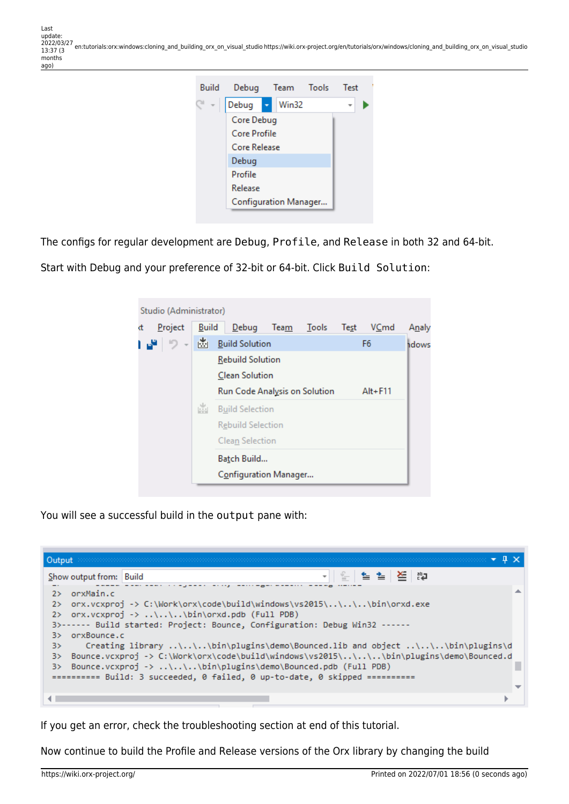

The configs for regular development are Debug, Profile, and Release in both 32 and 64-bit.

Start with Debug and your preference of 32-bit or 64-bit. Click Build Solution:



You will see a successful build in the output pane with:

| Output                                                                                                                                                                                                                                                                                                                                                                                                                                                                                                                                                                                             |  |  |  |                   |  |  |  |  |
|----------------------------------------------------------------------------------------------------------------------------------------------------------------------------------------------------------------------------------------------------------------------------------------------------------------------------------------------------------------------------------------------------------------------------------------------------------------------------------------------------------------------------------------------------------------------------------------------------|--|--|--|-------------------|--|--|--|--|
| Show output from: Build                                                                                                                                                                                                                                                                                                                                                                                                                                                                                                                                                                            |  |  |  | ㅋ│ 일│ 철: 철│ 열│ 30 |  |  |  |  |
| orxMain.c<br>$2\,>$<br>orx.vcxproj -> C:\Work\orx\code\build\windows\vs2015\\\.\bin\orxd.exe<br>2><br>2> orx.vcxproj -> \\\bin\orxd.pdb (Full PDB)<br>3>------ Build started: Project: Bounce, Configuration: Debug Win32 ------<br>orxBounce.c<br>3><br>Creating library \\.\bin\plugins\demo\Bounced.lib and object \\.\bin\plugins\d<br>3><br>Bounce.vcxproj -> C:\Work\orx\code\build\windows\vs2015\\\.\bin\plugins\demo\Bounced.d<br>3><br>Bounce.vcxproj -> \\\bin\plugins\demo\Bounced.pdb (Full PDB)<br>3><br>========== Build: 3 succeeded, 0 failed, 0 up-to-date, 0 skipped ========== |  |  |  |                   |  |  |  |  |
|                                                                                                                                                                                                                                                                                                                                                                                                                                                                                                                                                                                                    |  |  |  |                   |  |  |  |  |

If you get an error, check the troubleshooting section at end of this tutorial.

Now continue to build the Profile and Release versions of the Orx library by changing the build